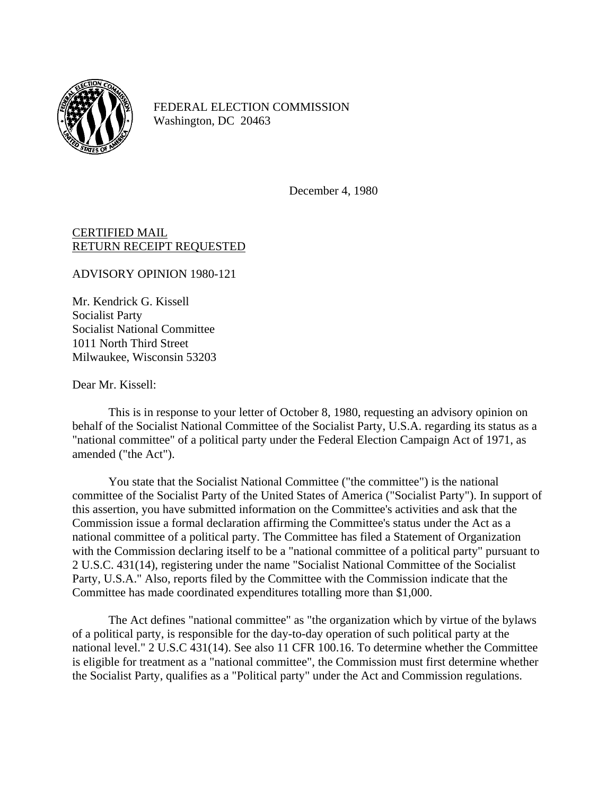

FEDERAL ELECTION COMMISSION Washington, DC 20463

December 4, 1980

## CERTIFIED MAIL RETURN RECEIPT REQUESTED

ADVISORY OPINION 1980-121

Mr. Kendrick G. Kissell Socialist Party Socialist National Committee 1011 North Third Street Milwaukee, Wisconsin 53203

Dear Mr. Kissell:

This is in response to your letter of October 8, 1980, requesting an advisory opinion on behalf of the Socialist National Committee of the Socialist Party, U.S.A. regarding its status as a "national committee" of a political party under the Federal Election Campaign Act of 1971, as amended ("the Act").

You state that the Socialist National Committee ("the committee") is the national committee of the Socialist Party of the United States of America ("Socialist Party"). In support of this assertion, you have submitted information on the Committee's activities and ask that the Commission issue a formal declaration affirming the Committee's status under the Act as a national committee of a political party. The Committee has filed a Statement of Organization with the Commission declaring itself to be a "national committee of a political party" pursuant to 2 U.S.C. 431(14), registering under the name "Socialist National Committee of the Socialist Party, U.S.A." Also, reports filed by the Committee with the Commission indicate that the Committee has made coordinated expenditures totalling more than \$1,000.

The Act defines "national committee" as "the organization which by virtue of the bylaws of a political party, is responsible for the day-to-day operation of such political party at the national level." 2 U.S.C 431(14). See also 11 CFR 100.16. To determine whether the Committee is eligible for treatment as a "national committee", the Commission must first determine whether the Socialist Party, qualifies as a "Political party" under the Act and Commission regulations.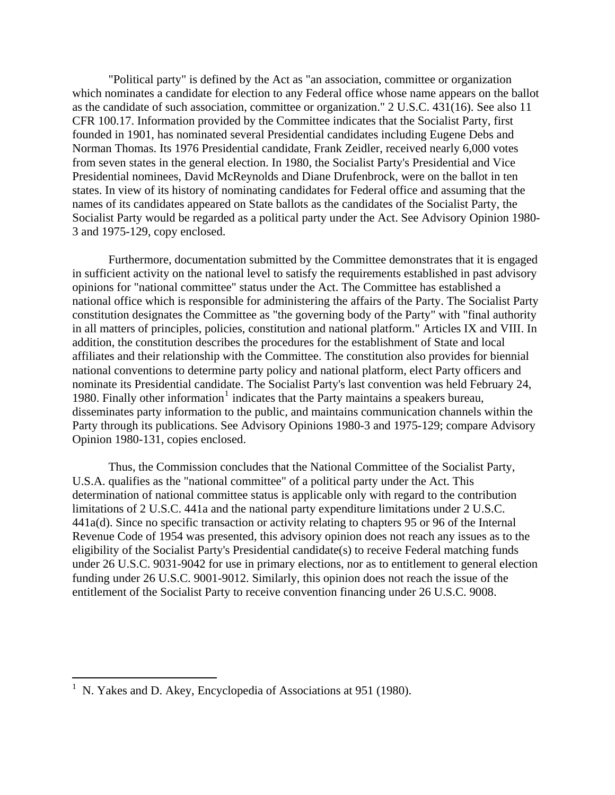"Political party" is defined by the Act as "an association, committee or organization which nominates a candidate for election to any Federal office whose name appears on the ballot as the candidate of such association, committee or organization." 2 U.S.C. 431(16). See also 11 CFR 100.17. Information provided by the Committee indicates that the Socialist Party, first founded in 1901, has nominated several Presidential candidates including Eugene Debs and Norman Thomas. Its 1976 Presidential candidate, Frank Zeidler, received nearly 6,000 votes from seven states in the general election. In 1980, the Socialist Party's Presidential and Vice Presidential nominees, David McReynolds and Diane Drufenbrock, were on the ballot in ten states. In view of its history of nominating candidates for Federal office and assuming that the names of its candidates appeared on State ballots as the candidates of the Socialist Party, the Socialist Party would be regarded as a political party under the Act. See Advisory Opinion 1980- 3 and 1975-129, copy enclosed.

Furthermore, documentation submitted by the Committee demonstrates that it is engaged in sufficient activity on the national level to satisfy the requirements established in past advisory opinions for "national committee" status under the Act. The Committee has established a national office which is responsible for administering the affairs of the Party. The Socialist Party constitution designates the Committee as "the governing body of the Party" with "final authority in all matters of principles, policies, constitution and national platform." Articles IX and VIII. In addition, the constitution describes the procedures for the establishment of State and local affiliates and their relationship with the Committee. The constitution also provides for biennial national conventions to determine party policy and national platform, elect Party officers and nominate its Presidential candidate. The Socialist Party's last convention was held February 24, [1](#page-1-0)980. Finally other information<sup>1</sup> indicates that the Party maintains a speakers bureau, disseminates party information to the public, and maintains communication channels within the Party through its publications. See Advisory Opinions 1980-3 and 1975-129; compare Advisory Opinion 1980-131, copies enclosed.

Thus, the Commission concludes that the National Committee of the Socialist Party, U.S.A. qualifies as the "national committee" of a political party under the Act. This determination of national committee status is applicable only with regard to the contribution limitations of 2 U.S.C. 441a and the national party expenditure limitations under 2 U.S.C. 441a(d). Since no specific transaction or activity relating to chapters 95 or 96 of the Internal Revenue Code of 1954 was presented, this advisory opinion does not reach any issues as to the eligibility of the Socialist Party's Presidential candidate(s) to receive Federal matching funds under 26 U.S.C. 9031-9042 for use in primary elections, nor as to entitlement to general election funding under 26 U.S.C. 9001-9012. Similarly, this opinion does not reach the issue of the entitlement of the Socialist Party to receive convention financing under 26 U.S.C. 9008.

 $\overline{a}$ 

<span id="page-1-0"></span><sup>1</sup> N. Yakes and D. Akey, Encyclopedia of Associations at 951 (1980).